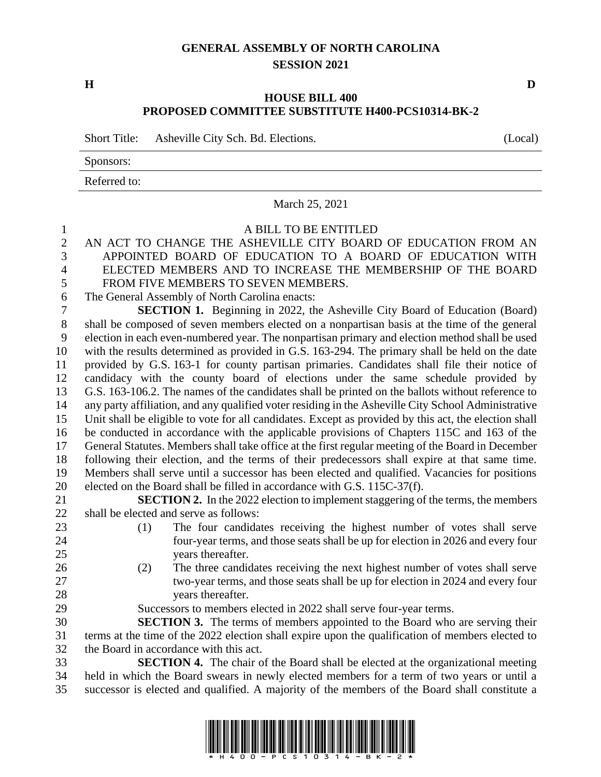## **GENERAL ASSEMBLY OF NORTH CAROLINA SESSION 2021**

**H D**

## **HOUSE BILL 400 PROPOSED COMMITTEE SUBSTITUTE H400-PCS10314-BK-2**

Short Title: Asheville City Sch. Bd. Elections. (Local)

Sponsors:

Referred to:

|                  | Referred to:                                                                                          |
|------------------|-------------------------------------------------------------------------------------------------------|
|                  | March 25, 2021                                                                                        |
| $\mathbf{1}$     | A BILL TO BE ENTITLED                                                                                 |
| $\overline{2}$   | AN ACT TO CHANGE THE ASHEVILLE CITY BOARD OF EDUCATION FROM AN                                        |
| 3                | APPOINTED BOARD OF EDUCATION TO A BOARD OF EDUCATION WITH                                             |
| $\overline{4}$   | ELECTED MEMBERS AND TO INCREASE THE MEMBERSHIP OF THE BOARD                                           |
| 5                | FROM FIVE MEMBERS TO SEVEN MEMBERS.                                                                   |
| 6                | The General Assembly of North Carolina enacts:                                                        |
| $\boldsymbol{7}$ | <b>SECTION 1.</b> Beginning in 2022, the Asheville City Board of Education (Board)                    |
| $8\phantom{1}$   | shall be composed of seven members elected on a nonpartisan basis at the time of the general          |
| 9                | election in each even-numbered year. The nonpartisan primary and election method shall be used        |
| 10               | with the results determined as provided in G.S. 163-294. The primary shall be held on the date        |
| 11               | provided by G.S. 163-1 for county partisan primaries. Candidates shall file their notice of           |
| 12               | candidacy with the county board of elections under the same schedule provided by                      |
| 13               | G.S. 163-106.2. The names of the candidates shall be printed on the ballots without reference to      |
| 14               | any party affiliation, and any qualified voter residing in the Asheville City School Administrative   |
| 15               | Unit shall be eligible to vote for all candidates. Except as provided by this act, the election shall |
| 16               | be conducted in accordance with the applicable provisions of Chapters 115C and 163 of the             |
| 17               | General Statutes. Members shall take office at the first regular meeting of the Board in December     |
| 18               | following their election, and the terms of their predecessors shall expire at that same time.         |
| 19               | Members shall serve until a successor has been elected and qualified. Vacancies for positions         |
| 20               | elected on the Board shall be filled in accordance with G.S. 115C-37(f).                              |
| 21               | SECTION 2. In the 2022 election to implement staggering of the terms, the members                     |
| 22               | shall be elected and serve as follows:                                                                |
| 23               | The four candidates receiving the highest number of votes shall serve<br>(1)                          |
| 24               | four-year terms, and those seats shall be up for election in 2026 and every four                      |
| 25               | years thereafter.                                                                                     |
| 26               | The three candidates receiving the next highest number of votes shall serve<br>(2)                    |
| 27               | two-year terms, and those seats shall be up for election in 2024 and every four                       |
| 28               | years thereafter.                                                                                     |
| 29               | Successors to members elected in 2022 shall serve four-year terms.                                    |
| 30               | <b>SECTION 3.</b> The terms of members appointed to the Board who are serving their                   |
| 31               | terms at the time of the 2022 election shall expire upon the qualification of members elected to      |
| 32               | the Board in accordance with this act.                                                                |
| 33               | <b>SECTION 4.</b> The chair of the Board shall be elected at the organizational meeting               |
| 34               | held in which the Board swears in newly elected members for a term of two years or until a            |
| 35               | successor is elected and qualified. A majority of the members of the Board shall constitute a         |